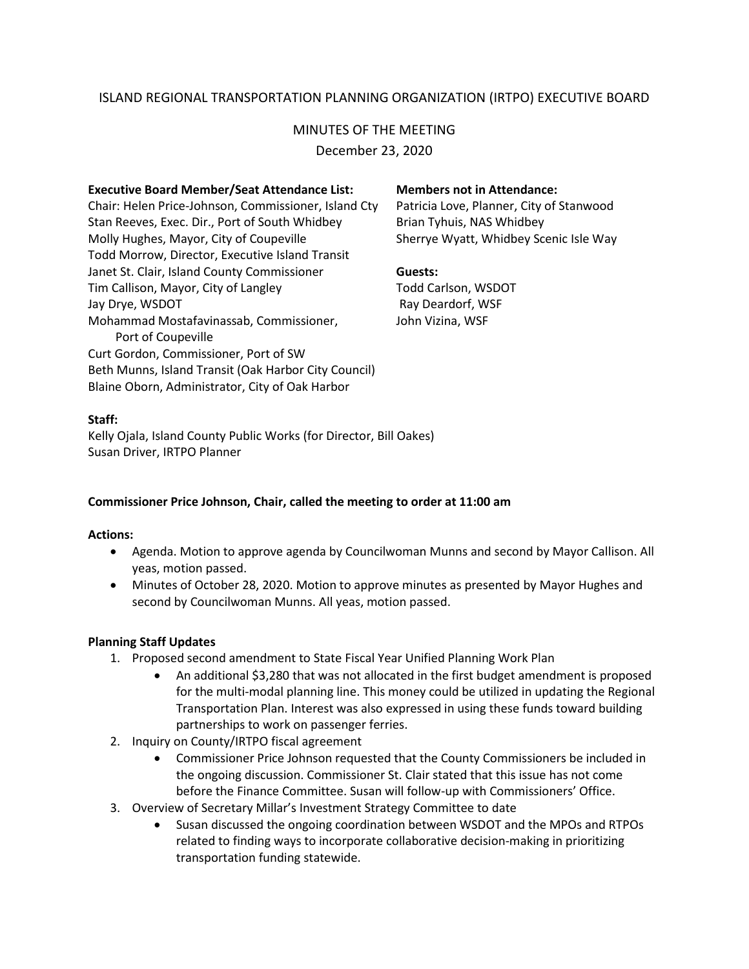# ISLAND REGIONAL TRANSPORTATION PLANNING ORGANIZATION (IRTPO) EXECUTIVE BOARD

# MINUTES OF THE MEETING

December 23, 2020

# **Executive Board Member/Seat Attendance List: Members not in Attendance:** Chair: Helen Price-Johnson, Commissioner, Island Cty Patricia Love, Planner, City of Stanwood Stan Reeves, Exec. Dir., Port of South Whidbey Brian Tyhuis, NAS Whidbey Molly Hughes, Mayor, City of Coupeville Sherrye Wyatt, Whidbey Scenic Isle Way Todd Morrow, Director, Executive Island Transit Janet St. Clair, Island County Commissioner **Guests:** Tim Callison, Mayor, City of Langley The Matter of Carlson, WSDOT Jay Drye, WSDOT **Ray Deardorf, WSF** Mohammad Mostafavinassab, Commissioner, John Vizina, WSF Port of Coupeville Curt Gordon, Commissioner, Port of SW Beth Munns, Island Transit (Oak Harbor City Council) Blaine Oborn, Administrator, City of Oak Harbor

## **Staff:**

Kelly Ojala, Island County Public Works (for Director, Bill Oakes) Susan Driver, IRTPO Planner

## **Commissioner Price Johnson, Chair, called the meeting to order at 11:00 am**

## **Actions:**

- Agenda. Motion to approve agenda by Councilwoman Munns and second by Mayor Callison. All yeas, motion passed.
- Minutes of October 28, 2020. Motion to approve minutes as presented by Mayor Hughes and second by Councilwoman Munns. All yeas, motion passed.

## **Planning Staff Updates**

- 1. Proposed second amendment to State Fiscal Year Unified Planning Work Plan
	- An additional \$3,280 that was not allocated in the first budget amendment is proposed for the multi-modal planning line. This money could be utilized in updating the Regional Transportation Plan. Interest was also expressed in using these funds toward building partnerships to work on passenger ferries.
- 2. Inquiry on County/IRTPO fiscal agreement
	- Commissioner Price Johnson requested that the County Commissioners be included in the ongoing discussion. Commissioner St. Clair stated that this issue has not come before the Finance Committee. Susan will follow-up with Commissioners' Office.
- 3. Overview of Secretary Millar's Investment Strategy Committee to date
	- Susan discussed the ongoing coordination between WSDOT and the MPOs and RTPOs related to finding ways to incorporate collaborative decision-making in prioritizing transportation funding statewide.